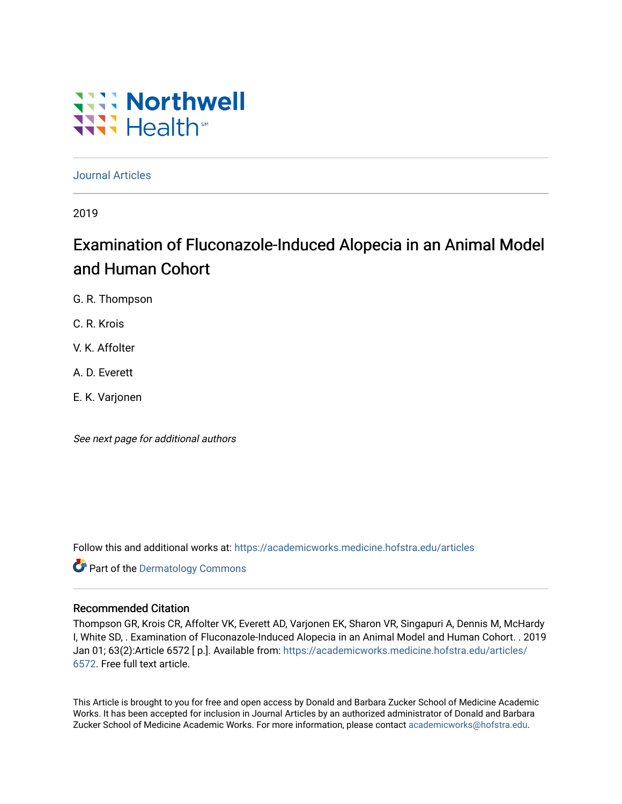# **Will Northwell** Wilh<sup>st</sup>

[Journal Articles](https://academicworks.medicine.hofstra.edu/articles) 

2019

# Examination of Fluconazole-Induced Alopecia in an Animal Model and Human Cohort

G. R. Thompson

C. R. Krois

V. K. Affolter

A. D. Everett

E. K. Varjonen

See next page for additional authors

Follow this and additional works at: [https://academicworks.medicine.hofstra.edu/articles](https://academicworks.medicine.hofstra.edu/articles?utm_source=academicworks.medicine.hofstra.edu%2Farticles%2F6572&utm_medium=PDF&utm_campaign=PDFCoverPages)

**Part of the Dermatology Commons** 

### Recommended Citation

Thompson GR, Krois CR, Affolter VK, Everett AD, Varjonen EK, Sharon VR, Singapuri A, Dennis M, McHardy I, White SD, . Examination of Fluconazole-Induced Alopecia in an Animal Model and Human Cohort. . 2019 Jan 01; 63(2):Article 6572 [ p.]. Available from: [https://academicworks.medicine.hofstra.edu/articles/](https://academicworks.medicine.hofstra.edu/articles/6572?utm_source=academicworks.medicine.hofstra.edu%2Farticles%2F6572&utm_medium=PDF&utm_campaign=PDFCoverPages) [6572](https://academicworks.medicine.hofstra.edu/articles/6572?utm_source=academicworks.medicine.hofstra.edu%2Farticles%2F6572&utm_medium=PDF&utm_campaign=PDFCoverPages). Free full text article.

This Article is brought to you for free and open access by Donald and Barbara Zucker School of Medicine Academic Works. It has been accepted for inclusion in Journal Articles by an authorized administrator of Donald and Barbara Zucker School of Medicine Academic Works. For more information, please contact [academicworks@hofstra.edu](mailto:academicworks@hofstra.edu).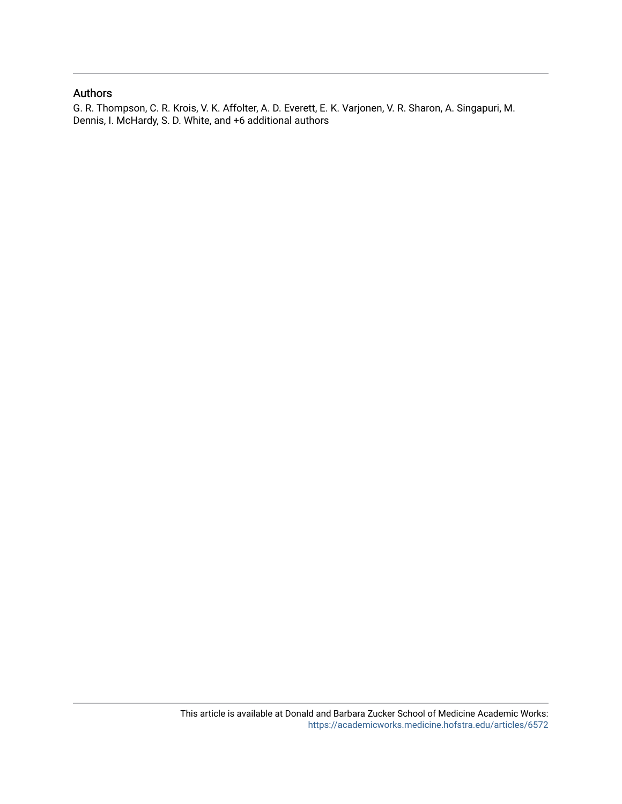### Authors

G. R. Thompson, C. R. Krois, V. K. Affolter, A. D. Everett, E. K. Varjonen, V. R. Sharon, A. Singapuri, M. Dennis, I. McHardy, S. D. White, and +6 additional authors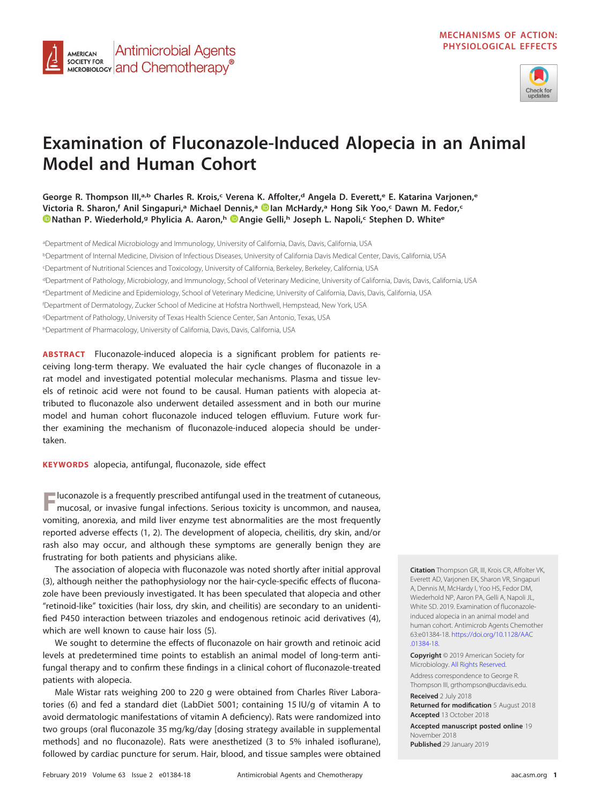

## **Examination of Fluconazole-Induced Alopecia in an Animal Model and Human Cohort**

**George R. Thompson III,a,b Charles R. Krois,c Verena K. Affolter,d Angela D. Everett,e E. Katarina Varjonen,e Victoria R. Sharon,f Anil Singapuri,a Michael Dennis,a [Ian McHardy,](https://orcid.org/0000-0002-2121-5460)a Hong Sik Yoo,c Dawn M. Fedor,c [Nathan P. Wiederhold,](https://orcid.org/0000-0002-2225-5122)g Phylicia A. Aaron,h [Angie Gelli,](https://orcid.org/0000-0003-3351-0683)h Joseph L. Napoli,c Stephen D. Whitee**

aDepartment of Medical Microbiology and Immunology, University of California, Davis, Davis, California, USA <sup>b</sup>Department of Internal Medicine, Division of Infectious Diseases, University of California Davis Medical Center, Davis, California, USA c Department of Nutritional Sciences and Toxicology, University of California, Berkeley, Berkeley, California, USA <sup>d</sup>Department of Pathology, Microbiology, and Immunology, School of Veterinary Medicine, University of California, Davis, Davis, California, USA eDepartment of Medicine and Epidemiology, School of Veterinary Medicine, University of California, Davis, Davis, California, USA f Department of Dermatology, Zucker School of Medicine at Hofstra Northwell, Hempstead, New York, USA <sup>g</sup>Department of Pathology, University of Texas Health Science Center, San Antonio, Texas, USA <sup>h</sup>Department of Pharmacology, University of California, Davis, Davis, California, USA

**ABSTRACT** Fluconazole-induced alopecia is a significant problem for patients receiving long-term therapy. We evaluated the hair cycle changes of fluconazole in a rat model and investigated potential molecular mechanisms. Plasma and tissue levels of retinoic acid were not found to be causal. Human patients with alopecia attributed to fluconazole also underwent detailed assessment and in both our murine model and human cohort fluconazole induced telogen effluvium. Future work further examining the mechanism of fluconazole-induced alopecia should be undertaken.

**KEYWORDS** alopecia, antifungal, fluconazole, side effect

**Antimicrobial Agents** 

MICROBIOLOGY **and Chemotherapy**<sup>®</sup>

AMERICAN SOCIETY FOR

**F**luconazole is a frequently prescribed antifungal used in the treatment of cutaneous, mucosal, or invasive fungal infections. Serious toxicity is uncommon, and nausea, vomiting, anorexia, and mild liver enzyme test abnormalities are the most frequently reported adverse effects [\(1,](#page-6-0) [2\)](#page-6-1). The development of alopecia, cheilitis, dry skin, and/or rash also may occur, and although these symptoms are generally benign they are frustrating for both patients and physicians alike.

The association of alopecia with fluconazole was noted shortly after initial approval [\(3\)](#page-6-2), although neither the pathophysiology nor the hair-cycle-specific effects of fluconazole have been previously investigated. It has been speculated that alopecia and other "retinoid-like" toxicities (hair loss, dry skin, and cheilitis) are secondary to an unidentified P450 interaction between triazoles and endogenous retinoic acid derivatives [\(4\)](#page-6-3), which are well known to cause hair loss [\(5\)](#page-6-4).

We sought to determine the effects of fluconazole on hair growth and retinoic acid levels at predetermined time points to establish an animal model of long-term antifungal therapy and to confirm these findings in a clinical cohort of fluconazole-treated patients with alopecia.

Male Wistar rats weighing 200 to 220 g were obtained from Charles River Laboratories [\(6\)](#page-6-5) and fed a standard diet (LabDiet 5001; containing 15 IU/g of vitamin A to avoid dermatologic manifestations of vitamin A deficiency). Rats were randomized into two groups (oral fluconazole 35 mg/kg/day [dosing strategy available in supplemental methods] and no fluconazole). Rats were anesthetized (3 to 5% inhaled isoflurane), followed by cardiac puncture for serum. Hair, blood, and tissue samples were obtained

**Citation** Thompson GR, III, Krois CR, Affolter VK, Everett AD, Varjonen EK, Sharon VR, Singapuri A, Dennis M, McHardy I, Yoo HS, Fedor DM, Wiederhold NP, Aaron PA, Gelli A, Napoli JL, White SD. 2019. Examination of fluconazoleinduced alopecia in an animal model and human cohort. Antimicrob Agents Chemother 63:e01384-18. [https://doi.org/10.1128/AAC](https://doi.org/10.1128/AAC.01384-18) [.01384-18.](https://doi.org/10.1128/AAC.01384-18)

**Copyright** © 2019 American Society for Microbiology. [All Rights Reserved.](https://doi.org/10.1128/ASMCopyrightv2)

Address correspondence to George R. Thompson III, [grthompson@ucdavis.edu.](mailto:grthompson@ucdavis.edu) **Received** 2 July 2018 **Returned for modification** 5 August 2018 **Accepted** 13 October 2018

**Accepted manuscript posted online** 19 November 2018 **Published** 29 January 2019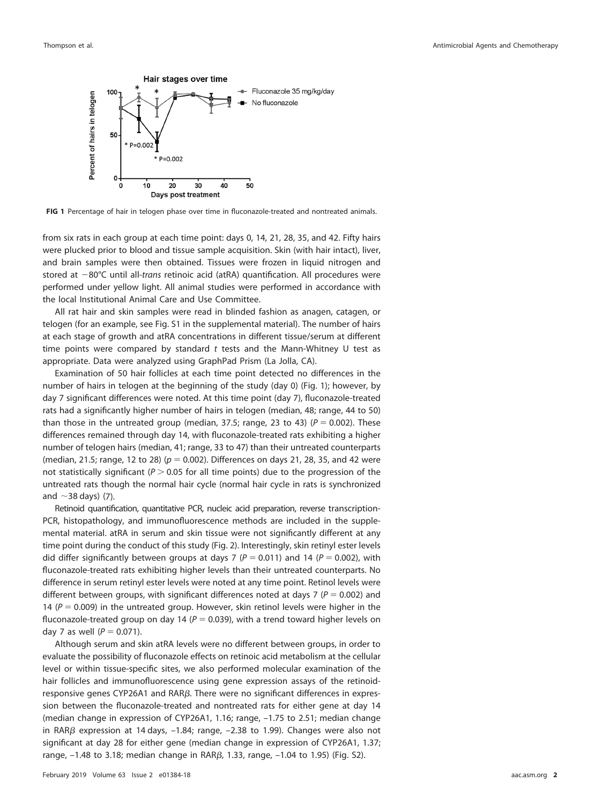

<span id="page-3-0"></span>FIG 1 Percentage of hair in telogen phase over time in fluconazole-treated and nontreated animals.

from six rats in each group at each time point: days 0, 14, 21, 28, 35, and 42. Fifty hairs were plucked prior to blood and tissue sample acquisition. Skin (with hair intact), liver, and brain samples were then obtained. Tissues were frozen in liquid nitrogen and stored at -80°C until all-trans retinoic acid (atRA) quantification. All procedures were performed under yellow light. All animal studies were performed in accordance with the local Institutional Animal Care and Use Committee.

All rat hair and skin samples were read in blinded fashion as anagen, catagen, or telogen (for an example, see Fig. S1 in the supplemental material). The number of hairs at each stage of growth and atRA concentrations in different tissue/serum at different time points were compared by standard  $t$  tests and the Mann-Whitney U test as appropriate. Data were analyzed using GraphPad Prism (La Jolla, CA).

Examination of 50 hair follicles at each time point detected no differences in the number of hairs in telogen at the beginning of the study (day 0) [\(Fig. 1\)](#page-3-0); however, by day 7 significant differences were noted. At this time point (day 7), fluconazole-treated rats had a significantly higher number of hairs in telogen (median, 48; range, 44 to 50) than those in the untreated group (median, 37.5; range, 23 to 43) ( $P = 0.002$ ). These differences remained through day 14, with fluconazole-treated rats exhibiting a higher number of telogen hairs (median, 41; range, 33 to 47) than their untreated counterparts (median, 21.5; range, 12 to 28) ( $p = 0.002$ ). Differences on days 21, 28, 35, and 42 were not statistically significant ( $P > 0.05$  for all time points) due to the progression of the untreated rats though the normal hair cycle (normal hair cycle in rats is synchronized and  $\sim$ 38 days) [\(7\)](#page-6-6).

Retinoid quantification, quantitative PCR, nucleic acid preparation, reverse transcription-PCR, histopathology, and immunofluorescence methods are included in the supplemental material. atRA in serum and skin tissue were not significantly different at any time point during the conduct of this study [\(Fig. 2\)](#page-4-0). Interestingly, skin retinyl ester levels did differ significantly between groups at days 7 ( $P = 0.011$ ) and 14 ( $P = 0.002$ ), with fluconazole-treated rats exhibiting higher levels than their untreated counterparts. No difference in serum retinyl ester levels were noted at any time point. Retinol levels were different between groups, with significant differences noted at days 7 ( $P = 0.002$ ) and 14 ( $P = 0.009$ ) in the untreated group. However, skin retinol levels were higher in the fluconazole-treated group on day 14 ( $P = 0.039$ ), with a trend toward higher levels on day 7 as well ( $P = 0.071$ ).

Although serum and skin atRA levels were no different between groups, in order to evaluate the possibility of fluconazole effects on retinoic acid metabolism at the cellular level or within tissue-specific sites, we also performed molecular examination of the hair follicles and immunofluorescence using gene expression assays of the retinoidresponsive genes CYP26A1 and  $RAR\beta$ . There were no significant differences in expression between the fluconazole-treated and nontreated rats for either gene at day 14 (median change in expression of CYP26A1, 1.16; range, –1.75 to 2.51; median change in RAR $\beta$  expression at 14 days, –1.84; range, –2.38 to 1.99). Changes were also not significant at day 28 for either gene (median change in expression of CYP26A1, 1.37; range,  $-1.48$  to 3.18; median change in RAR $\beta$ , 1.33, range,  $-1.04$  to 1.95) (Fig. S2).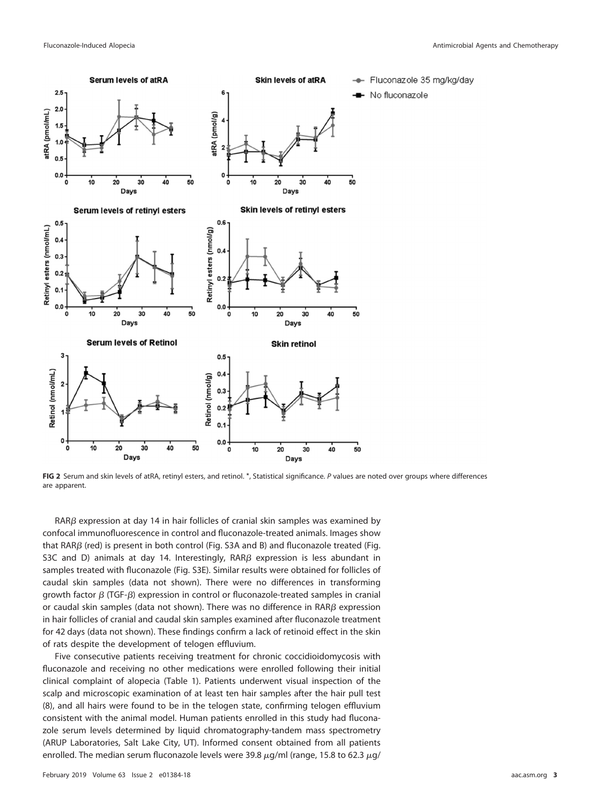

<span id="page-4-0"></span>**FIG 2** Serum and skin levels of atRA, retinyl esters, and retinol. \*, Statistical significance. P values are noted over groups where differences are apparent.

 $RAR\beta$  expression at day 14 in hair follicles of cranial skin samples was examined by confocal immunofluorescence in control and fluconazole-treated animals. Images show that RAR $\beta$  (red) is present in both control (Fig. S3A and B) and fluconazole treated (Fig. S3C and D) animals at day 14. Interestingly,  $RAR\beta$  expression is less abundant in samples treated with fluconazole (Fig. S3E). Similar results were obtained for follicles of caudal skin samples (data not shown). There were no differences in transforming growth factor  $\beta$  (TGF- $\beta$ ) expression in control or fluconazole-treated samples in cranial or caudal skin samples (data not shown). There was no difference in  $\mathsf{RAR}\beta$  expression in hair follicles of cranial and caudal skin samples examined after fluconazole treatment for 42 days (data not shown). These findings confirm a lack of retinoid effect in the skin of rats despite the development of telogen effluvium.

Five consecutive patients receiving treatment for chronic coccidioidomycosis with fluconazole and receiving no other medications were enrolled following their initial clinical complaint of alopecia [\(Table 1\)](#page-5-0). Patients underwent visual inspection of the scalp and microscopic examination of at least ten hair samples after the hair pull test [\(8\)](#page-6-7), and all hairs were found to be in the telogen state, confirming telogen effluvium consistent with the animal model. Human patients enrolled in this study had fluconazole serum levels determined by liquid chromatography-tandem mass spectrometry (ARUP Laboratories, Salt Lake City, UT). Informed consent obtained from all patients enrolled. The median serum fluconazole levels were 39.8  $\mu$ g/ml (range, 15.8 to 62.3  $\mu$ g/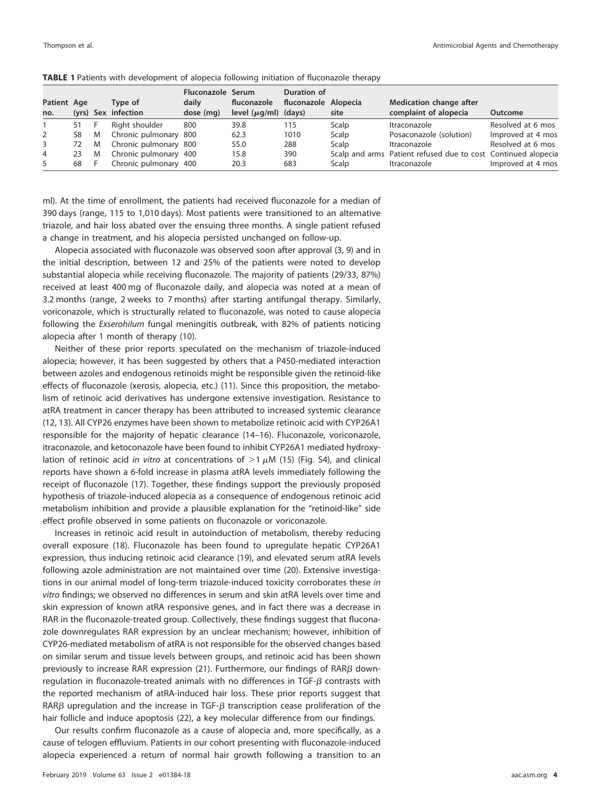|                |    |     |                       | Fluconazole Serum |                           | Duration of          |       |                                                               |                   |
|----------------|----|-----|-----------------------|-------------------|---------------------------|----------------------|-------|---------------------------------------------------------------|-------------------|
| Patient Age    |    |     | Type of               | daily             | fluconazole               | fluconazole Alopecia |       | Medication change after                                       |                   |
| no.            |    |     | (yrs) Sex infection   | dose (mg)         | level $(\mu q/ml)$ (days) |                      | site  | complaint of alopecia                                         | Outcome           |
|                |    | - F | Right shoulder        | 800               | 39.8                      | 115                  | Scalp | Itraconazole                                                  | Resolved at 6 mos |
| $\overline{2}$ | 58 | M   | Chronic pulmonary 800 |                   | 62.3                      | 1010                 | Scalp | Posaconazole (solution)                                       | Improved at 4 mos |
| 3              | 72 | M.  | Chronic pulmonary 800 |                   | 55.0                      | 288                  | Scalp | Itraconazole                                                  | Resolved at 6 mos |
| 4              |    | M   | Chronic pulmonary 400 |                   | 15.8                      | 390                  |       | Scalp and arms Patient refused due to cost Continued alopecia |                   |
| 5              | 68 |     | Chronic pulmonary 400 |                   | 20.3                      | 683                  | Scalp | Itraconazole                                                  | Improved at 4 mos |

<span id="page-5-0"></span>

| TABLE 1 Patients with development of alopecia following initiation of fluconazole therapy |  |
|-------------------------------------------------------------------------------------------|--|
|-------------------------------------------------------------------------------------------|--|

ml). At the time of enrollment, the patients had received fluconazole for a median of 390 days (range, 115 to 1,010 days). Most patients were transitioned to an alternative triazole, and hair loss abated over the ensuing three months. A single patient refused a change in treatment, and his alopecia persisted unchanged on follow-up.

Alopecia associated with fluconazole was observed soon after approval [\(3,](#page-6-2) [9\)](#page-6-8) and in the initial description, between 12 and 25% of the patients were noted to develop substantial alopecia while receiving fluconazole. The majority of patients (29/33, 87%) received at least 400 mg of fluconazole daily, and alopecia was noted at a mean of 3.2 months (range, 2 weeks to 7 months) after starting antifungal therapy. Similarly, voriconazole, which is structurally related to fluconazole, was noted to cause alopecia following the Exserohilum fungal meningitis outbreak, with 82% of patients noticing alopecia after 1 month of therapy [\(10\)](#page-6-9).

Neither of these prior reports speculated on the mechanism of triazole-induced alopecia; however, it has been suggested by others that a P450-mediated interaction between azoles and endogenous retinoids might be responsible given the retinoid-like effects of fluconazole (xerosis, alopecia, etc.) [\(11\)](#page-6-10). Since this proposition, the metabolism of retinoic acid derivatives has undergone extensive investigation. Resistance to atRA treatment in cancer therapy has been attributed to increased systemic clearance [\(12,](#page-6-11) [13\)](#page-6-12). All CYP26 enzymes have been shown to metabolize retinoic acid with CYP26A1 responsible for the majority of hepatic clearance [\(14](#page-6-13)[–](#page-6-14)[16\)](#page-6-15). Fluconazole, voriconazole, itraconazole, and ketoconazole have been found to inhibit CYP26A1 mediated hydroxylation of retinoic acid in vitro at concentrations of  $>1 \mu M$  [\(15\)](#page-6-14) (Fig. S4), and clinical reports have shown a 6-fold increase in plasma atRA levels immediately following the receipt of fluconazole [\(17\)](#page-6-16). Together, these findings support the previously proposed hypothesis of triazole-induced alopecia as a consequence of endogenous retinoic acid metabolism inhibition and provide a plausible explanation for the "retinoid-like" side effect profile observed in some patients on fluconazole or voriconazole.

Increases in retinoic acid result in autoinduction of metabolism, thereby reducing overall exposure [\(18\)](#page-6-17). Fluconazole has been found to upregulate hepatic CYP26A1 expression, thus inducing retinoic acid clearance [\(19\)](#page-6-18), and elevated serum atRA levels following azole administration are not maintained over time [\(20\)](#page-7-0). Extensive investigations in our animal model of long-term triazole-induced toxicity corroborates these in vitro findings; we observed no differences in serum and skin atRA levels over time and skin expression of known atRA responsive genes, and in fact there was a decrease in RAR in the fluconazole-treated group. Collectively, these findings suggest that fluconazole downregulates RAR expression by an unclear mechanism; however, inhibition of CYP26-mediated metabolism of atRA is not responsible for the observed changes based on similar serum and tissue levels between groups, and retinoic acid has been shown previously to increase RAR expression [\(21\)](#page-7-1). Furthermore, our findings of RAR $\beta$  downregulation in fluconazole-treated animals with no differences in TGF- $\beta$  contrasts with the reported mechanism of atRA-induced hair loss. These prior reports suggest that RAR $\beta$  upregulation and the increase in TGF- $\beta$  transcription cease proliferation of the hair follicle and induce apoptosis [\(22\)](#page-7-2), a key molecular difference from our findings.

Our results confirm fluconazole as a cause of alopecia and, more specifically, as a cause of telogen effluvium. Patients in our cohort presenting with fluconazole-induced alopecia experienced a return of normal hair growth following a transition to an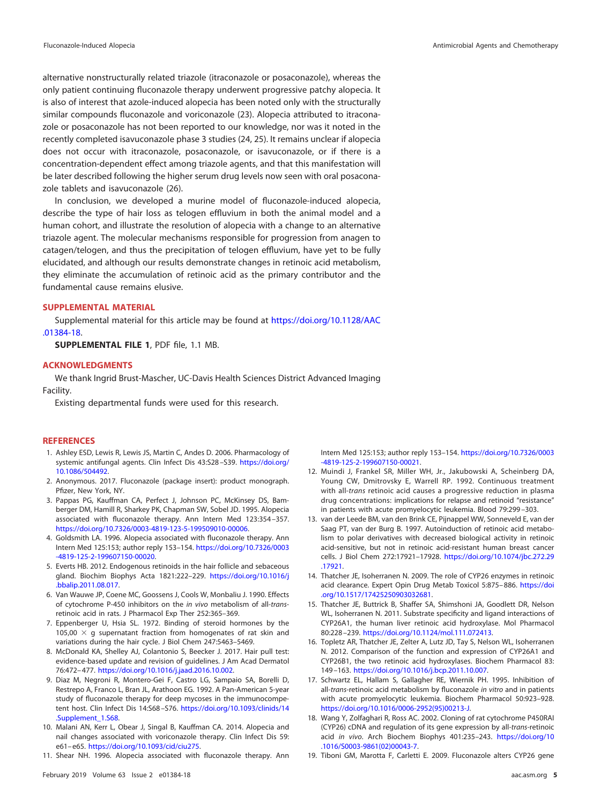alternative nonstructurally related triazole (itraconazole or posaconazole), whereas the only patient continuing fluconazole therapy underwent progressive patchy alopecia. It is also of interest that azole-induced alopecia has been noted only with the structurally similar compounds fluconazole and voriconazole [\(23\)](#page-7-3). Alopecia attributed to itraconazole or posaconazole has not been reported to our knowledge, nor was it noted in the recently completed isavuconazole phase 3 studies [\(24,](#page-7-4) [25\)](#page-7-5). It remains unclear if alopecia does not occur with itraconazole, posaconazole, or isavuconazole, or if there is a concentration-dependent effect among triazole agents, and that this manifestation will be later described following the higher serum drug levels now seen with oral posaconazole tablets and isavuconazole [\(26\)](#page-7-6).

In conclusion, we developed a murine model of fluconazole-induced alopecia, describe the type of hair loss as telogen effluvium in both the animal model and a human cohort, and illustrate the resolution of alopecia with a change to an alternative triazole agent. The molecular mechanisms responsible for progression from anagen to catagen/telogen, and thus the precipitation of telogen effluvium, have yet to be fully elucidated, and although our results demonstrate changes in retinoic acid metabolism, they eliminate the accumulation of retinoic acid as the primary contributor and the fundamental cause remains elusive.

### **SUPPLEMENTAL MATERIAL**

Supplemental material for this article may be found at [https://doi.org/10.1128/AAC](https://doi.org/10.1128/AAC.01384-18) [.01384-18.](https://doi.org/10.1128/AAC.01384-18)

**SUPPLEMENTAL FILE 1**, PDF file, 1.1 MB.

### **ACKNOWLEDGMENTS**

We thank Ingrid Brust-Mascher, UC-Davis Health Sciences District Advanced Imaging Facility.

Existing departmental funds were used for this research.

#### <span id="page-6-0"></span>**REFERENCES**

- 1. Ashley ESD, Lewis R, Lewis JS, Martin C, Andes D. 2006. Pharmacology of systemic antifungal agents. Clin Infect Dis 43:S28-S39. [https://doi.org/](https://doi.org/10.1086/504492) [10.1086/504492.](https://doi.org/10.1086/504492)
- <span id="page-6-2"></span><span id="page-6-1"></span>2. Anonymous. 2017. Fluconazole (package insert): product monograph. Pfizer, New York, NY.
- 3. Pappas PG, Kauffman CA, Perfect J, Johnson PC, McKinsey DS, Bamberger DM, Hamill R, Sharkey PK, Chapman SW, Sobel JD. 1995. Alopecia associated with fluconazole therapy. Ann Intern Med 123:354 –357. [https://doi.org/10.7326/0003-4819-123-5-199509010-00006.](https://doi.org/10.7326/0003-4819-123-5-199509010-00006)
- <span id="page-6-3"></span>4. Goldsmith LA. 1996. Alopecia associated with fluconazole therapy. Ann Intern Med 125:153; author reply 153–154. [https://doi.org/10.7326/0003](https://doi.org/10.7326/0003-4819-125-2-199607150-00020) [-4819-125-2-199607150-00020.](https://doi.org/10.7326/0003-4819-125-2-199607150-00020)
- <span id="page-6-4"></span>5. Everts HB. 2012. Endogenous retinoids in the hair follicle and sebaceous gland. Biochim Biophys Acta 1821:222–229. [https://doi.org/10.1016/j](https://doi.org/10.1016/j.bbalip.2011.08.017) [.bbalip.2011.08.017.](https://doi.org/10.1016/j.bbalip.2011.08.017)
- <span id="page-6-6"></span><span id="page-6-5"></span>6. Van Wauwe JP, Coene MC, Goossens J, Cools W, Monbaliu J. 1990. Effects of cytochrome P-450 inhibitors on the in vivo metabolism of all-transretinoic acid in rats. J Pharmacol Exp Ther 252:365–369.
- <span id="page-6-7"></span>7. Eppenberger U, Hsia SL. 1972. Binding of steroid hormones by the 105,00  $\times$  g supernatant fraction from homogenates of rat skin and variations during the hair cycle. J Biol Chem 247:5463–5469.
- <span id="page-6-8"></span>8. McDonald KA, Shelley AJ, Colantonio S, Beecker J. 2017. Hair pull test: evidence-based update and revision of guidelines. J Am Acad Dermatol 76:472– 477. [https://doi.org/10.1016/j.jaad.2016.10.002.](https://doi.org/10.1016/j.jaad.2016.10.002)
- 9. Diaz M, Negroni R, Montero-Gei F, Castro LG, Sampaio SA, Borelli D, Restrepo A, Franco L, Bran JL, Arathoon EG. 1992. A Pan-American 5-year study of fluconazole therapy for deep mycoses in the immunocompetent host. Clin Infect Dis 14:S68 –S76. [https://doi.org/10.1093/clinids/14](https://doi.org/10.1093/clinids/14.Supplement_1.S68) [.Supplement\\_1.S68.](https://doi.org/10.1093/clinids/14.Supplement_1.S68)
- <span id="page-6-10"></span><span id="page-6-9"></span>10. Malani AN, Kerr L, Obear J, Singal B, Kauffman CA. 2014. Alopecia and nail changes associated with voriconazole therapy. Clin Infect Dis 59: e61– e65. [https://doi.org/10.1093/cid/ciu275.](https://doi.org/10.1093/cid/ciu275)
- 11. Shear NH. 1996. Alopecia associated with fluconazole therapy. Ann

Intern Med 125:153; author reply 153–154. [https://doi.org/10.7326/0003](https://doi.org/10.7326/0003-4819-125-2-199607150-00021) [-4819-125-2-199607150-00021.](https://doi.org/10.7326/0003-4819-125-2-199607150-00021)

- <span id="page-6-11"></span>12. Muindi J, Frankel SR, Miller WH, Jr., Jakubowski A, Scheinberg DA, Young CW, Dmitrovsky E, Warrell RP. 1992. Continuous treatment with all-trans retinoic acid causes a progressive reduction in plasma drug concentrations: implications for relapse and retinoid "resistance" in patients with acute promyelocytic leukemia. Blood 79:299 –303.
- <span id="page-6-12"></span>13. van der Leede BM, van den Brink CE, Pijnappel WW, Sonneveld E, van der Saag PT, van der Burg B. 1997. Autoinduction of retinoic acid metabolism to polar derivatives with decreased biological activity in retinoic acid-sensitive, but not in retinoic acid-resistant human breast cancer cells. J Biol Chem 272:17921–17928. [https://doi.org/10.1074/jbc.272.29](https://doi.org/10.1074/jbc.272.29.17921) [.17921.](https://doi.org/10.1074/jbc.272.29.17921)
- <span id="page-6-14"></span><span id="page-6-13"></span>14. Thatcher JE, Isoherranen N. 2009. The role of CYP26 enzymes in retinoic acid clearance. Expert Opin Drug Metab Toxicol 5:875– 886. [https://doi](https://doi.org/10.1517/17425250903032681) [.org/10.1517/17425250903032681.](https://doi.org/10.1517/17425250903032681)
- 15. Thatcher JE, Buttrick B, Shaffer SA, Shimshoni JA, Goodlett DR, Nelson WL, Isoherranen N. 2011. Substrate specificity and ligand interactions of CYP26A1, the human liver retinoic acid hydroxylase. Mol Pharmacol 80:228 –239. [https://doi.org/10.1124/mol.111.072413.](https://doi.org/10.1124/mol.111.072413)
- <span id="page-6-15"></span>16. Topletz AR, Thatcher JE, Zelter A, Lutz JD, Tay S, Nelson WL, Isoherranen N. 2012. Comparison of the function and expression of CYP26A1 and CYP26B1, the two retinoic acid hydroxylases. Biochem Pharmacol 83: 149 –163. [https://doi.org/10.1016/j.bcp.2011.10.007.](https://doi.org/10.1016/j.bcp.2011.10.007)
- <span id="page-6-16"></span>17. Schwartz EL, Hallam S, Gallagher RE, Wiernik PH. 1995. Inhibition of all-trans-retinoic acid metabolism by fluconazole in vitro and in patients with acute promyelocytic leukemia. Biochem Pharmacol 50:923–928. [https://doi.org/10.1016/0006-2952\(95\)00213-J.](https://doi.org/10.1016/0006-2952(95)00213-J)
- <span id="page-6-17"></span>18. Wang Y, Zolfaghari R, Ross AC. 2002. Cloning of rat cytochrome P450RAI (CYP26) cDNA and regulation of its gene expression by all-trans-retinoic acid in vivo. Arch Biochem Biophys 401:235–243. [https://doi.org/10](https://doi.org/10.1016/S0003-9861(02)00043-7) [.1016/S0003-9861\(02\)00043-7.](https://doi.org/10.1016/S0003-9861(02)00043-7)
- <span id="page-6-18"></span>19. Tiboni GM, Marotta F, Carletti E. 2009. Fluconazole alters CYP26 gene